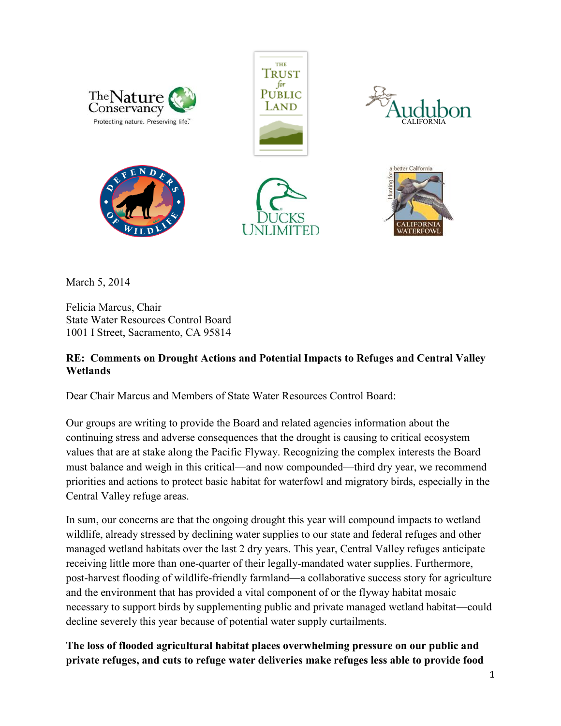

March 5, 2014

Felicia Marcus, Chair State Water Resources Control Board 1001 I Street, Sacramento, CA 95814

## **RE: Comments on Drought Actions and Potential Impacts to Refuges and Central Valley Wetlands**

Dear Chair Marcus and Members of State Water Resources Control Board:

Our groups are writing to provide the Board and related agencies information about the continuing stress and adverse consequences that the drought is causing to critical ecosystem values that are at stake along the Pacific Flyway. Recognizing the complex interests the Board must balance and weigh in this critical—and now compounded—third dry year, we recommend priorities and actions to protect basic habitat for waterfowl and migratory birds, especially in the Central Valley refuge areas.

In sum, our concerns are that the ongoing drought this year will compound impacts to wetland wildlife, already stressed by declining water supplies to our state and federal refuges and other managed wetland habitats over the last 2 dry years. This year, Central Valley refuges anticipate receiving little more than one-quarter of their legally-mandated water supplies. Furthermore, post-harvest flooding of wildlife-friendly farmland—a collaborative success story for agriculture and the environment that has provided a vital component of or the flyway habitat mosaic necessary to support birds by supplementing public and private managed wetland habitat—could decline severely this year because of potential water supply curtailments.

**The loss of flooded agricultural habitat places overwhelming pressure on our public and private refuges, and cuts to refuge water deliveries make refuges less able to provide food**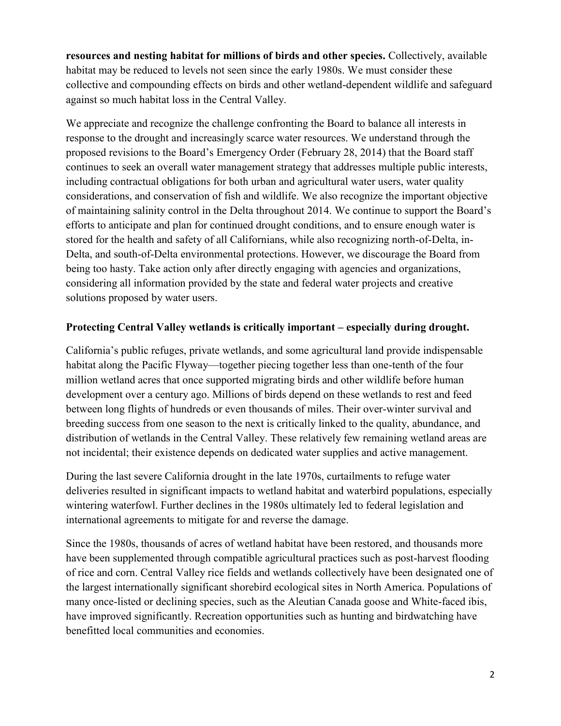**resources and nesting habitat for millions of birds and other species.** Collectively, available habitat may be reduced to levels not seen since the early 1980s. We must consider these collective and compounding effects on birds and other wetland-dependent wildlife and safeguard against so much habitat loss in the Central Valley.

We appreciate and recognize the challenge confronting the Board to balance all interests in response to the drought and increasingly scarce water resources. We understand through the proposed revisions to the Board's Emergency Order (February 28, 2014) that the Board staff continues to seek an overall water management strategy that addresses multiple public interests, including contractual obligations for both urban and agricultural water users, water quality considerations, and conservation of fish and wildlife. We also recognize the important objective of maintaining salinity control in the Delta throughout 2014. We continue to support the Board's efforts to anticipate and plan for continued drought conditions, and to ensure enough water is stored for the health and safety of all Californians, while also recognizing north-of-Delta, in-Delta, and south-of-Delta environmental protections. However, we discourage the Board from being too hasty. Take action only after directly engaging with agencies and organizations, considering all information provided by the state and federal water projects and creative solutions proposed by water users.

## Protecting Central Valley wetlands is critically important – especially during drought.

California's public refuges, private wetlands, and some agricultural land provide indispensable habitat along the Pacific Flyway—together piecing together less than one-tenth of the four million wetland acres that once supported migrating birds and other wildlife before human development over a century ago. Millions of birds depend on these wetlands to rest and feed between long flights of hundreds or even thousands of miles. Their over-winter survival and breeding success from one season to the next is critically linked to the quality, abundance, and distribution of wetlands in the Central Valley. These relatively few remaining wetland areas are not incidental; their existence depends on dedicated water supplies and active management.

During the last severe California drought in the late 1970s, curtailments to refuge water deliveries resulted in significant impacts to wetland habitat and waterbird populations, especially wintering waterfowl. Further declines in the 1980s ultimately led to federal legislation and international agreements to mitigate for and reverse the damage.

Since the 1980s, thousands of acres of wetland habitat have been restored, and thousands more have been supplemented through compatible agricultural practices such as post-harvest flooding of rice and corn. Central Valley rice fields and wetlands collectively have been designated one of the largest internationally significant shorebird ecological sites in North America. Populations of many once-listed or declining species, such as the Aleutian Canada goose and White-faced ibis, have improved significantly. Recreation opportunities such as hunting and birdwatching have benefitted local communities and economies.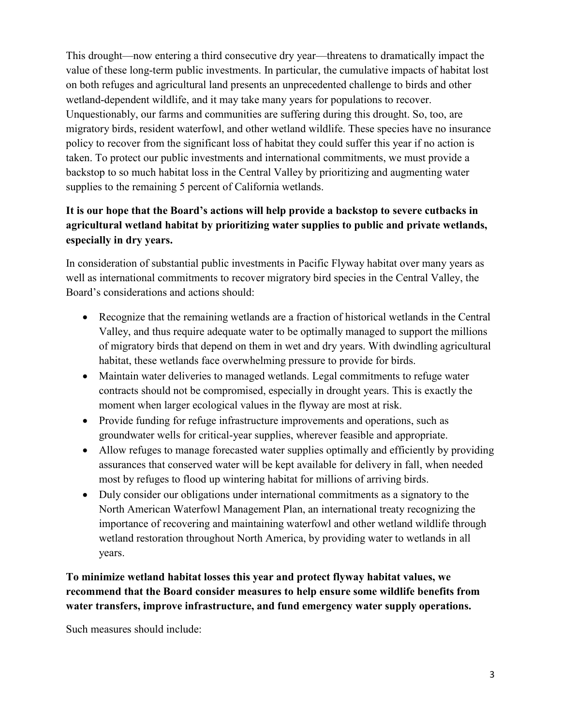This drought—now entering a third consecutive dry year—threatens to dramatically impact the value of these long-term public investments. In particular, the cumulative impacts of habitat lost on both refuges and agricultural land presents an unprecedented challenge to birds and other wetland-dependent wildlife, and it may take many years for populations to recover. Unquestionably, our farms and communities are suffering during this drought. So, too, are migratory birds, resident waterfowl, and other wetland wildlife. These species have no insurance policy to recover from the significant loss of habitat they could suffer this year if no action is taken. To protect our public investments and international commitments, we must provide a backstop to so much habitat loss in the Central Valley by prioritizing and augmenting water supplies to the remaining 5 percent of California wetlands.

## **It is our hope that the Board's actions will help provide a backstop to severe cutbacks in agricultural wetland habitat by prioritizing water supplies to public and private wetlands, especially in dry years.**

In consideration of substantial public investments in Pacific Flyway habitat over many years as well as international commitments to recover migratory bird species in the Central Valley, the Board's considerations and actions should:

- Recognize that the remaining wetlands are a fraction of historical wetlands in the Central Valley, and thus require adequate water to be optimally managed to support the millions of migratory birds that depend on them in wet and dry years. With dwindling agricultural habitat, these wetlands face overwhelming pressure to provide for birds.
- Maintain water deliveries to managed wetlands. Legal commitments to refuge water contracts should not be compromised, especially in drought years. This is exactly the moment when larger ecological values in the flyway are most at risk.
- Provide funding for refuge infrastructure improvements and operations, such as groundwater wells for critical-year supplies, wherever feasible and appropriate.
- Allow refuges to manage forecasted water supplies optimally and efficiently by providing assurances that conserved water will be kept available for delivery in fall, when needed most by refuges to flood up wintering habitat for millions of arriving birds.
- Duly consider our obligations under international commitments as a signatory to the North American Waterfowl Management Plan, an international treaty recognizing the importance of recovering and maintaining waterfowl and other wetland wildlife through wetland restoration throughout North America, by providing water to wetlands in all years.

**To minimize wetland habitat losses this year and protect flyway habitat values, we recommend that the Board consider measures to help ensure some wildlife benefits from water transfers, improve infrastructure, and fund emergency water supply operations.** 

Such measures should include: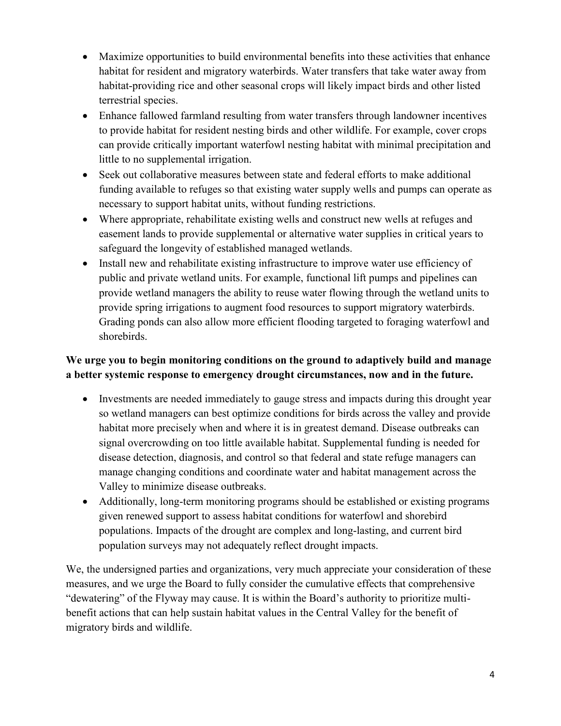- Maximize opportunities to build environmental benefits into these activities that enhance habitat for resident and migratory waterbirds. Water transfers that take water away from habitat-providing rice and other seasonal crops will likely impact birds and other listed terrestrial species.
- Enhance fallowed farmland resulting from water transfers through landowner incentives to provide habitat for resident nesting birds and other wildlife. For example, cover crops can provide critically important waterfowl nesting habitat with minimal precipitation and little to no supplemental irrigation.
- Seek out collaborative measures between state and federal efforts to make additional funding available to refuges so that existing water supply wells and pumps can operate as necessary to support habitat units, without funding restrictions.
- Where appropriate, rehabilitate existing wells and construct new wells at refuges and easement lands to provide supplemental or alternative water supplies in critical years to safeguard the longevity of established managed wetlands.
- Install new and rehabilitate existing infrastructure to improve water use efficiency of public and private wetland units. For example, functional lift pumps and pipelines can provide wetland managers the ability to reuse water flowing through the wetland units to provide spring irrigations to augment food resources to support migratory waterbirds. Grading ponds can also allow more efficient flooding targeted to foraging waterfowl and shorebirds.

## **We urge you to begin monitoring conditions on the ground to adaptively build and manage a better systemic response to emergency drought circumstances, now and in the future.**

- Investments are needed immediately to gauge stress and impacts during this drought year so wetland managers can best optimize conditions for birds across the valley and provide habitat more precisely when and where it is in greatest demand. Disease outbreaks can signal overcrowding on too little available habitat. Supplemental funding is needed for disease detection, diagnosis, and control so that federal and state refuge managers can manage changing conditions and coordinate water and habitat management across the Valley to minimize disease outbreaks.
- Additionally, long-term monitoring programs should be established or existing programs given renewed support to assess habitat conditions for waterfowl and shorebird populations. Impacts of the drought are complex and long-lasting, and current bird population surveys may not adequately reflect drought impacts.

We, the undersigned parties and organizations, very much appreciate your consideration of these measures, and we urge the Board to fully consider the cumulative effects that comprehensive "dewatering" of the Flyway may cause. It is within the Board's authority to prioritize multibenefit actions that can help sustain habitat values in the Central Valley for the benefit of migratory birds and wildlife.